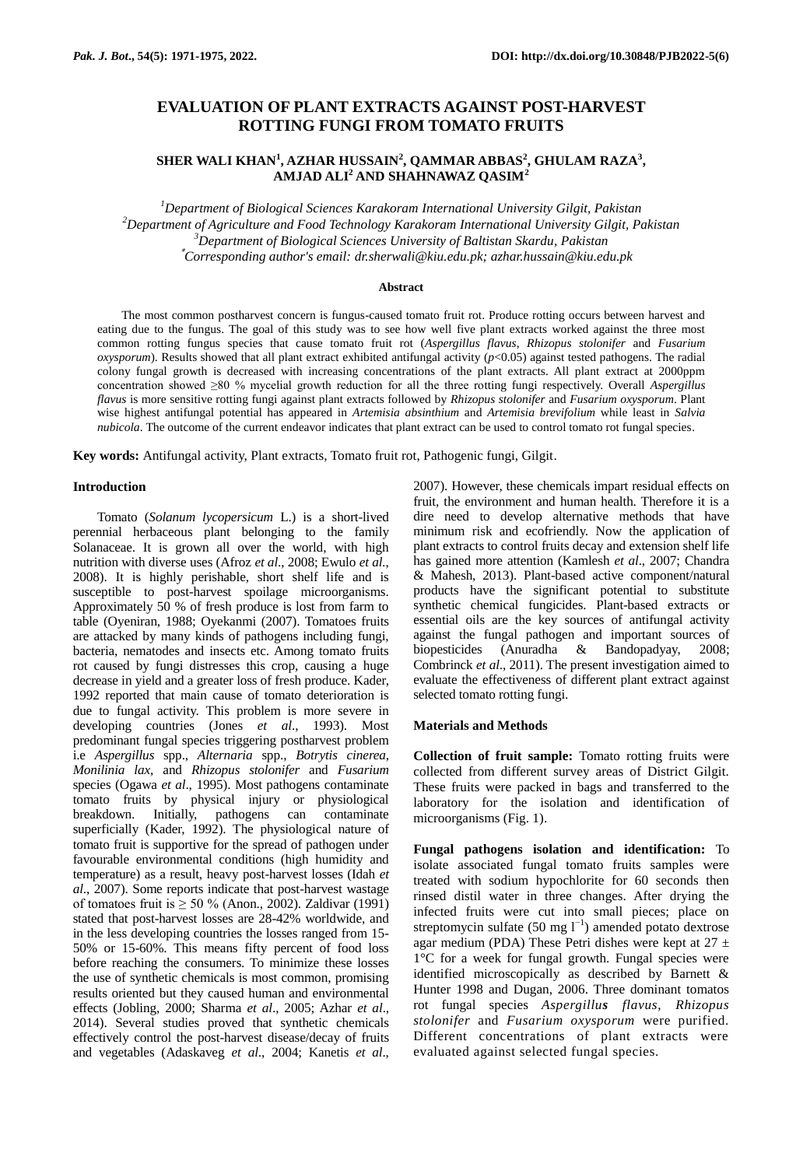# **EVALUATION OF PLANT EXTRACTS AGAINST POST-HARVEST ROTTING FUNGI FROM TOMATO FRUITS**

# **SHER WALI KHAN<sup>1</sup> , AZHAR HUSSAIN<sup>2</sup> , QAMMAR ABBAS<sup>2</sup> , GHULAM RAZA<sup>3</sup> , AMJAD ALI<sup>2</sup> AND SHAHNAWAZ QASIM<sup>2</sup>**

*Department of Biological Sciences Karakoram International University Gilgit, Pakistan Department of Agriculture and Food Technology Karakoram International University Gilgit, Pakistan Department of Biological Sciences University of Baltistan Skardu, Pakistan* \**Corresponding author's email: dr.sherwali@kiu.edu.pk; azhar.hussain@kiu.edu.pk*

#### **Abstract**

The most common postharvest concern is fungus-caused tomato fruit rot. Produce rotting occurs between harvest and eating due to the fungus. The goal of this study was to see how well five plant extracts worked against the three most common rotting fungus species that cause tomato fruit rot (*Aspergillus flavus*, *Rhizopus stolonifer* and *Fusarium oxysporum*). Results showed that all plant extract exhibited antifungal activity (*p*<0.05) against tested pathogens. The radial colony fungal growth is decreased with increasing concentrations of the plant extracts. All plant extract at 2000ppm concentration showed ≥80 % mycelial growth reduction for all the three rotting fungi respectively. Overall *Aspergillus flavus* is more sensitive rotting fungi against plant extracts followed by *Rhizopus stolonifer* and *Fusarium oxysporum*. Plant wise highest antifungal potential has appeared in *Artemisia absinthium* and *Artemisia brevifolium* while least in *Salvia nubicola*. The outcome of the current endeavor indicates that plant extract can be used to control tomato rot fungal species.

**Key words:** Antifungal activity, Plant extracts, Tomato fruit rot, Pathogenic fungi, Gilgit.

## **Introduction**

Tomato (*Solanum lycopersicum* L.) is a short-lived perennial herbaceous plant belonging to the family Solanaceae. It is grown all over the world, with high nutrition with diverse uses (Afroz *et al*., 2008; Ewulo *et al.*, 2008). It is highly perishable, short shelf life and is susceptible to post-harvest spoilage microorganisms. Approximately 50 % of fresh produce is lost from farm to table (Oyeniran, 1988; Oyekanmi (2007). Tomatoes fruits are attacked by many kinds of pathogens including fungi, bacteria, nematodes and insects etc. Among tomato fruits rot caused by fungi distresses this crop, causing a huge decrease in yield and a greater loss of fresh produce. Kader, 1992 reported that main cause of tomato deterioration is due to fungal activity. This problem is more severe in developing countries (Jones *et al*., 1993). Most predominant fungal species triggering postharvest problem i.e *Aspergillus* spp., *Alternaria* spp., *Botrytis cinerea*, *Monilinia lax*, and *Rhizopus stolonifer* and *Fusarium*  species (Ogawa *et al*., 1995). Most pathogens contaminate tomato fruits by physical injury or physiological breakdown. Initially, pathogens can contaminate superficially (Kader, 1992). The physiological nature of tomato fruit is supportive for the spread of pathogen under favourable environmental conditions (high humidity and temperature) as a result, heavy post-harvest losses (Idah *et al*., 2007). Some reports indicate that post-harvest wastage of tomatoes fruit is  $\geq 50$  % (Anon., 2002). Zaldivar (1991) stated that post-harvest losses are 28-42% worldwide, and in the less developing countries the losses ranged from 15- 50% or 15-60%. This means fifty percent of food loss before reaching the consumers. To minimize these losses the use of synthetic chemicals is most common, promising results oriented but they caused human and environmental effects (Jobling, 2000; Sharma *et al*., 2005; Azhar *et al*., 2014). Several studies proved that synthetic chemicals effectively control the post-harvest disease/decay of fruits and vegetables (Adaskaveg *et al*., 2004; Kanetis *et al*.,

2007). However, these chemicals impart residual effects on fruit, the environment and human health. Therefore it is a dire need to develop alternative methods that have minimum risk and ecofriendly. Now the application of plant extracts to control fruits decay and extension shelf life has gained more attention (Kamlesh *et al*., 2007; Chandra & Mahesh, 2013). Plant-based active component/natural products have the significant potential to substitute synthetic chemical fungicides. Plant-based extracts or essential oils are the key sources of antifungal activity against the fungal pathogen and important sources of biopesticides (Anuradha & Bandopadyay, 2008; Combrinck *et al*., 2011). The present investigation aimed to evaluate the effectiveness of different plant extract against selected tomato rotting fungi.

# **Materials and Methods**

**Collection of fruit sample:** Tomato rotting fruits were collected from different survey areas of District Gilgit. These fruits were packed in bags and transferred to the laboratory for the isolation and identification of microorganisms (Fig. 1).

**Fungal pathogens isolation and identification:** To isolate associated fungal tomato fruits samples were treated with sodium hypochlorite for 60 seconds then rinsed distil water in three changes. After drying the infected fruits were cut into small pieces; place on streptomycin sulfate (50 mg  $l^{-1}$ ) amended potato dextrose agar medium (PDA) These Petri dishes were kept at  $27 \pm$ 1°C for a week for fungal growth. Fungal species were identified microscopically as described by Barnett & Hunter 1998 and Dugan, 2006. Three dominant tomatos rot fungal species *[Aspergillu](http://www.scialert.net/asci/result.php?searchin=Keywords&cat=&ascicat=ALL&Submit=Search&keyword=Aspergillus+niger)s flavus, Rhizopus stolonifer* and *Fusarium oxysporum* were purified. Different concentrations of plant extracts were evaluated against selected fungal species.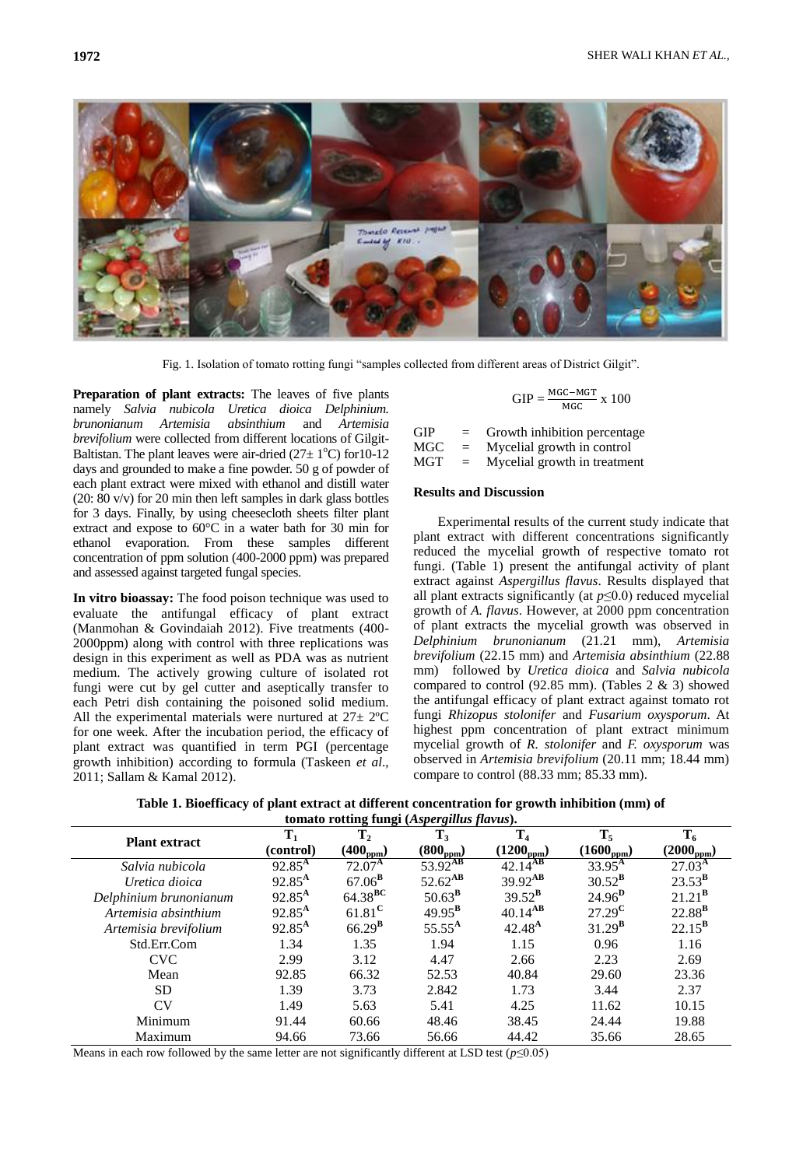

Fig. 1. Isolation of tomato rotting fungi "samples collected from different areas of District Gilgit".

**Preparation of plant extracts:** The leaves of five plants namely *Salvia nubicola Uretica dioica Delphinium. brunonianum Artemisia absinthium* and *Artemisia brevifolium* were collected from different locations of Gilgit-Baltistan. The plant leaves were air-dried  $(27 \pm 1^{\circ}C)$  for 10-12 days and grounded to make a fine powder. 50 g of powder of each plant extract were mixed with ethanol and distill water (20: 80 v/v) for 20 min then left samples in dark glass bottles for 3 days. Finally, by using cheesecloth sheets filter plant extract and expose to 60°C in a water bath for 30 min for ethanol evaporation. From these samples different concentration of ppm solution (400-2000 ppm) was prepared and assessed against targeted fungal species.

**In vitro bioassay:** The food poison technique was used to evaluate the antifungal efficacy of plant extract (Manmohan & Govindaiah 2012). Five treatments (400- 2000ppm) along with control with three replications was design in this experiment as well as PDA was as nutrient medium. The actively growing culture of isolated rot fungi were cut by gel cutter and aseptically transfer to each Petri dish containing the poisoned solid medium. All the experimental materials were nurtured at  $27 \pm 2^{\circ}C$ for one week. After the incubation period, the efficacy of plant extract was quantified in term PGI (percentage growth inhibition) according to formula (Taskeen *et al*., 2011; Sallam & Kamal 2012).

$$
GIP = \frac{MGC - MGT}{MGC} \times 100
$$

 $GIP = Growth inhibition percentage$  $MGC = Mycelial growth in control$  $MGT = Mycelial growth in treatment$ 

#### **Results and Discussion**

Experimental results of the current study indicate that plant extract with different concentrations significantly reduced the mycelial growth of respective tomato rot fungi. (Table 1) present the antifungal activity of plant extract against *Aspergillus flavus*. Results displayed that all plant extracts significantly (at *p*≤0.0) reduced mycelial growth of *A. flavus*. However, at 2000 ppm concentration of plant extracts the mycelial growth was observed in *Delphinium brunonianum* (21.21 mm), *Artemisia brevifolium* (22.15 mm) and *Artemisia absinthium* (22.88 mm) followed by *Uretica dioica* and *Salvia nubicola*  compared to control (92.85 mm). (Tables  $2 \& 3$ ) showed the antifungal efficacy of plant extract against tomato rot fungi *Rhizopus stolonifer* and *Fusarium oxysporum*. At highest ppm concentration of plant extract minimum mycelial growth of *R. stolonifer* and *F. oxysporum* was observed in *Artemisia brevifolium* (20.11 mm; 18.44 mm) compare to control (88.33 mm; 85.33 mm).

| Table 1. Bioefficacy of plant extract at different concentration for growth inhibition (mm) of |  |
|------------------------------------------------------------------------------------------------|--|
| tomato rotting fungi (Aspergillus flavus).                                                     |  |

| <b>Plant extract</b>   | $T_1$           | $T_2$                | $T_3$                | T <sub>4</sub>        | $T_5$                 | $T_6$              |
|------------------------|-----------------|----------------------|----------------------|-----------------------|-----------------------|--------------------|
|                        | (control)       | $(400_{\text{ppm}})$ | $(800_{\text{ppm}})$ | $(1200_{\text{ppm}})$ | $(1600_{\text{ppm}})$ | $(2000_{ppm})$     |
| Salvia nubicola        | $92.85^{\rm A}$ | $72.07^{\rm A}$      | $53.92^{AB}$         | $42.14^{AB}$          | $33.95^{\rm A}$       | $27.03^{\rm A}$    |
| Uretica dioica         | $92.85^{A}$     | $67.06^{\rm B}$      | $52.62^{AB}$         | $39.92^{AB}$          | $30.52^{\rm B}$       | $23.53^{\rm B}$    |
| Delphinium brunonianum | $92.85^{\rm A}$ | $64.38^{BC}$         | $50.63^{\mathrm{B}}$ | $39.52^{\rm B}$       | $24.96^{\mathrm{D}}$  | $21.21^{\text{B}}$ |
| Artemisia absinthium   | $92.85^{\rm A}$ | $61.81^{\rm C}$      | $49.95^{\rm B}$      | $40.14^{AB}$          | $27.29^{\rm C}$       | $22.88^{\text{B}}$ |
| Artemisia brevifolium  | $92.85^{\rm A}$ | $66.29^{B}$          | $55.55^{\rm A}$      | $42.48^{A}$           | $31.29^{\rm B}$       | $22.15^{\rm B}$    |
| Std.Err.Com            | 1.34            | 1.35                 | 1.94                 | 1.15                  | 0.96                  | 1.16               |
| <b>CVC</b>             | 2.99            | 3.12                 | 4.47                 | 2.66                  | 2.23                  | 2.69               |
| Mean                   | 92.85           | 66.32                | 52.53                | 40.84                 | 29.60                 | 23.36              |
| <b>SD</b>              | 1.39            | 3.73                 | 2.842                | 1.73                  | 3.44                  | 2.37               |
| CV                     | 1.49            | 5.63                 | 5.41                 | 4.25                  | 11.62                 | 10.15              |
| Minimum                | 91.44           | 60.66                | 48.46                | 38.45                 | 24.44                 | 19.88              |
| Maximum                | 94.66           | 73.66                | 56.66                | 44.42                 | 35.66                 | 28.65              |

Means in each row followed by the same letter are not significantly different at LSD test (*p*≤0.05)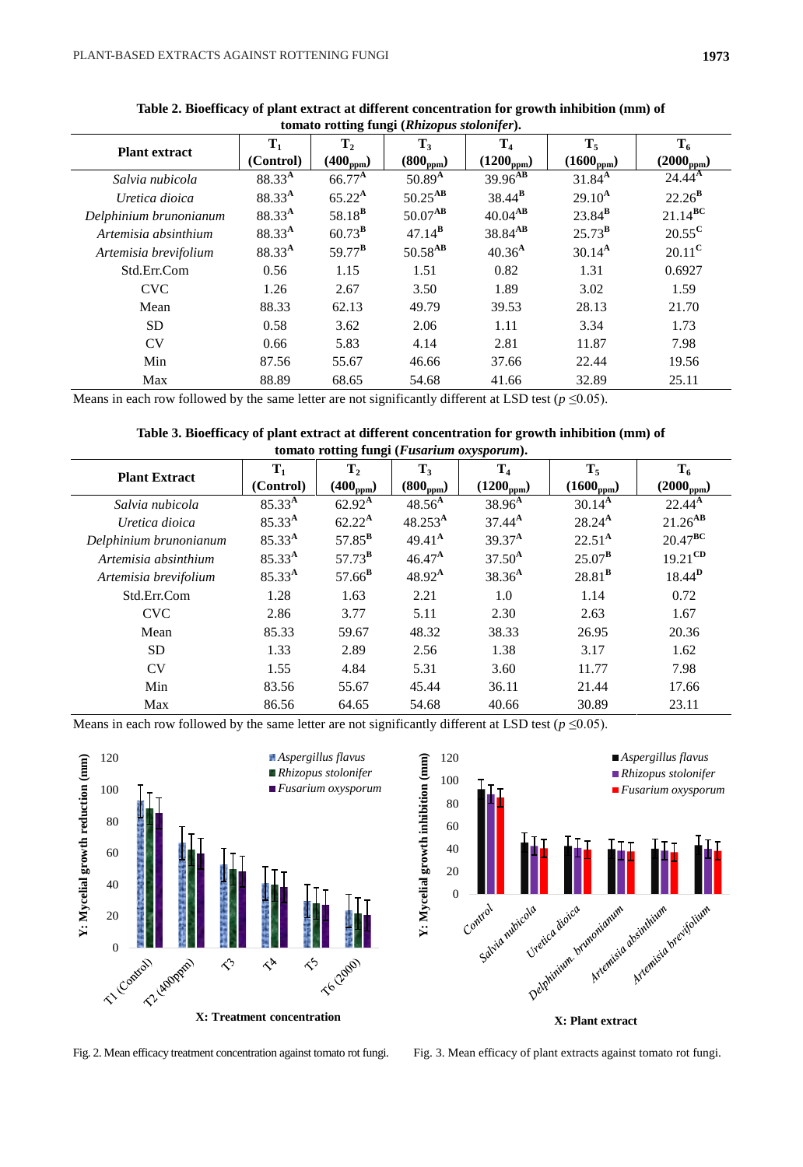| tomato Fotting Tungi ( <i>Khizopus stotonger</i> ). |                    |                 |                 |                       |                 |                 |
|-----------------------------------------------------|--------------------|-----------------|-----------------|-----------------------|-----------------|-----------------|
| <b>Plant extract</b>                                | $T_1$              | $T_{2}$         | $T_3$           | $\bf{T}_4$            | $T_5$           | $T_6$           |
|                                                     | (Control)          | $(400_{ppm})$   | $(800_{ppm})$   | $(1200_{ppm})$        | $(1600_{ppm})$  | $(2000_{ppm})$  |
| Salvia nubicola                                     | $88.33^{A}$        | $66.77^{\rm A}$ | $50.89^{A}$     | $39.96$ <sup>AB</sup> | $31.84^{A}$     | $24.44^{\rm A}$ |
| Uretica dioica                                      | $88.33^{A}$        | $65.22^{\rm A}$ | $50.25^{AB}$    | $38.44^{\rm B}$       | $29.10^{A}$     | $22.26^{\rm B}$ |
| Delphinium brunonianum                              | 88.33 <sup>A</sup> | $58.18^{B}$     | $50.07^{AB}$    | $40.04^{AB}$          | $23.84^{\rm B}$ | $21.14^{BC}$    |
| Artemisia absinthium                                | 88.33 <sup>A</sup> | $60.73^{\rm B}$ | $47.14^{\rm B}$ | $38.84^{AB}$          | $25.73^{\rm B}$ | $20.55^{\rm C}$ |
| Artemisia brevifolium                               | 88.33 <sup>A</sup> | $59.77^{\rm B}$ | $50.58^{AB}$    | 40.36 <sup>A</sup>    | $30.14^{A}$     | $20.11^{\rm C}$ |
| Std.Err.Com                                         | 0.56               | 1.15            | 1.51            | 0.82                  | 1.31            | 0.6927          |
| <b>CVC</b>                                          | 1.26               | 2.67            | 3.50            | 1.89                  | 3.02            | 1.59            |
| Mean                                                | 88.33              | 62.13           | 49.79           | 39.53                 | 28.13           | 21.70           |
| <b>SD</b>                                           | 0.58               | 3.62            | 2.06            | 1.11                  | 3.34            | 1.73            |
| <b>CV</b>                                           | 0.66               | 5.83            | 4.14            | 2.81                  | 11.87           | 7.98            |
| Min                                                 | 87.56              | 55.67           | 46.66           | 37.66                 | 22.44           | 19.56           |
| Max                                                 | 88.89              | 68.65           | 54.68           | 41.66                 | 32.89           | 25.11           |

**Table 2. Bioefficacy of plant extract at different concentration for growth inhibition (mm) of tomato rotting fungi (***Rhizopus stolonifer***).**

Means in each row followed by the same letter are not significantly different at LSD test ( $p \le 0.05$ ).

# **Table 3. Bioefficacy of plant extract at different concentration for growth inhibition (mm) of tomato rotting fungi (***Fusarium oxysporum***).**

| $\frac{1}{2}$          |                             |                                 |                        |                                  |                         |                         |
|------------------------|-----------------------------|---------------------------------|------------------------|----------------------------------|-------------------------|-------------------------|
| <b>Plant Extract</b>   | $\mathbf{T}_1$<br>(Control) | T <sub>2</sub><br>$(400_{ppm})$ | $T_3$<br>$(800_{ppm})$ | T <sub>4</sub><br>$(1200_{ppm})$ | $T_5$<br>$(1600_{ppm})$ | $T_6$<br>$(2000_{ppm})$ |
| Salvia nubicola        | $85.33^{A}$                 | $62.92^{\rm A}$                 | $48.56^{A}$            | $38.96^{A}$                      | $30.14^{A}$             | $22.44^{A}$             |
| Uretica dioica         | $85.33^{A}$                 | $62.22^{\rm A}$                 | $48.253^{\rm A}$       | $37.44^{A}$                      | $28.24^{A}$             | $21.26^{AB}$            |
| Delphinium brunonianum | $85.33^{A}$                 | $57.85^{\rm B}$                 | $49.41^{\text{A}}$     | $39.37^{A}$                      | $22.51^{\rm A}$         | $20.47^{\text{BC}}$     |
| Artemisia absinthium   | $85.33^{A}$                 | $57.73^{\mathrm{B}}$            | $46.47^{A}$            | $37.50^{A}$                      | $25.07^{\mathrm{B}}$    | $19.21^{\text{CD}}$     |
| Artemisia brevifolium  | $85.33^{A}$                 | $57.66^{\rm B}$                 | $48.92^{\text{A}}$     | $38.36^{A}$                      | $28.81^{\rm B}$         | $18.44$ <sup>D</sup>    |
| Std.Err.Com            | 1.28                        | 1.63                            | 2.21                   | 1.0                              | 1.14                    | 0.72                    |
| <b>CVC</b>             | 2.86                        | 3.77                            | 5.11                   | 2.30                             | 2.63                    | 1.67                    |
| Mean                   | 85.33                       | 59.67                           | 48.32                  | 38.33                            | 26.95                   | 20.36                   |
| <b>SD</b>              | 1.33                        | 2.89                            | 2.56                   | 1.38                             | 3.17                    | 1.62                    |
| CV                     | 1.55                        | 4.84                            | 5.31                   | 3.60                             | 11.77                   | 7.98                    |
| Min                    | 83.56                       | 55.67                           | 45.44                  | 36.11                            | 21.44                   | 17.66                   |
| Max                    | 86.56                       | 64.65                           | 54.68                  | 40.66                            | 30.89                   | 23.11                   |

Means in each row followed by the same letter are not significantly different at LSD test ( $p \le 0.05$ ).





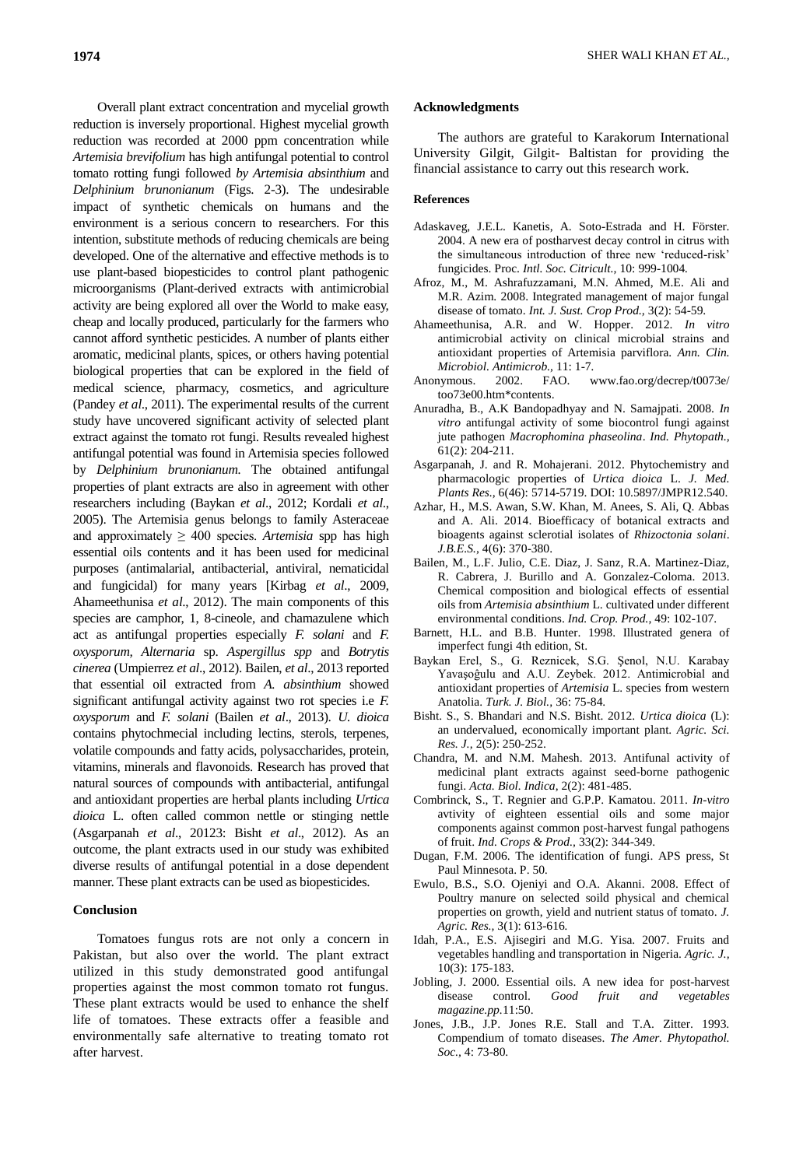Overall plant extract concentration and mycelial growth reduction is inversely proportional. Highest mycelial growth reduction was recorded at 2000 ppm concentration while *Artemisia brevifolium* has high antifungal potential to control tomato rotting fungi followed *by Artemisia absinthium* and *Delphinium brunonianum* (Figs. 2-3). The undesirable impact of synthetic chemicals on humans and the environment is a serious concern to researchers. For this intention, substitute methods of reducing chemicals are being developed. One of the alternative and effective methods is to use plant-based biopesticides to control plant pathogenic microorganisms (Plant-derived extracts with antimicrobial activity are being explored all over the World to make easy, cheap and locally produced, particularly for the farmers who cannot afford synthetic pesticides. A number of plants either aromatic, medicinal plants, spices, or others having potential biological properties that can be explored in the field of medical science, pharmacy, cosmetics, and agriculture (Pandey *et al*., 2011). The experimental results of the current study have uncovered significant activity of selected plant extract against the tomato rot fungi. Results revealed highest antifungal potential was found in Artemisia species followed by *Delphinium brunonianum.* The obtained antifungal properties of plant extracts are also in agreement with other researchers including (Baykan *et al*., 2012; Kordali *et al*., 2005). The Artemisia genus belongs to family Asteraceae and approximately  $\geq 400$  species. *Artemisia* spp has high essential oils contents and it has been used for medicinal purposes (antimalarial, antibacterial, antiviral, nematicidal and fungicidal) for many years [Kirbag *et al*., 2009, Ahameethunisa *et al*., 2012). The main components of this species are camphor, 1, 8-cineole, and chamazulene which act as antifungal properties especially *F. solani* and *F. oxysporum, Alternaria* sp. *Aspergillus spp* and *Botrytis cinerea* (Umpierrez *et al*., 2012). Bailen, *et al*., 2013 reported that essential oil extracted from *A. absinthium* showed significant antifungal activity against two rot species i.e *F. oxysporum* and *F. solani* (Bailen *et al*., 2013). *U. dioica*  contains phytochmecial including lectins, sterols, terpenes, volatile compounds and fatty acids, polysaccharides, protein, vitamins, minerals and flavonoids. Research has proved that natural sources of compounds with antibacterial, antifungal and antioxidant properties are herbal plants including *Urtica dioica* L. often called common nettle or stinging nettle (Asgarpanah *et al*., 20123: Bisht *et al*., 2012). As an outcome, the plant extracts used in our study was exhibited diverse results of antifungal potential in a dose dependent manner. These plant extracts can be used as biopesticides.

# **Conclusion**

Tomatoes fungus rots are not only a concern in Pakistan, but also over the world. The plant extract utilized in this study demonstrated good antifungal properties against the most common tomato rot fungus. These plant extracts would be used to enhance the shelf life of tomatoes. These extracts offer a feasible and environmentally safe alternative to treating tomato rot after harvest.

# **Acknowledgments**

The authors are grateful to Karakorum International University Gilgit, Gilgit- Baltistan for providing the financial assistance to carry out this research work.

# **References**

- Adaskaveg, J.E.L. Kanetis, A. Soto-Estrada and H. Förster. 2004. A new era of postharvest decay control in citrus with the simultaneous introduction of three new "reduced-risk" fungicides. Proc. *Intl. Soc. Citricult.,* 10: 999-1004*.*
- Afroz, M., M. Ashrafuzzamani, M.N. Ahmed, M.E. Ali and M.R. Azim. 2008. Integrated management of major fungal disease of tomato. *Int. J. Sust. Crop Prod.,* 3(2): 54-59.
- Ahameethunisa, A.R. and W. Hopper. 2012. *In vitro* antimicrobial activity on clinical microbial strains and antioxidant properties of Artemisia parviflora. *Ann. Clin. Microbiol. Antimicrob.,* 11: 1-7*.*
- Anonymous. 2002. FAO. www.fao.org/decrep/t0073e/ too73e00.htm\*contents.
- Anuradha, B., A.K Bandopadhyay and N. Samajpati. 2008. *In vitro* antifungal activity of some biocontrol fungi against jute pathogen *Macrophomina phaseolina*. *Ind. Phytopath.,*  61(2): 204-211.
- Asgarpanah, J. and R. Mohajerani. 2012. Phytochemistry and pharmacologic properties of *Urtica dioica* L. *J. Med. Plants Res.,* 6(46): 5714-5719. DOI: 10.5897/JMPR12.540.
- Azhar, H., M.S. Awan, S.W. Khan, M. Anees, S. Ali, Q. Abbas and A. Ali. 2014. Bioefficacy of botanical extracts and bioagents against sclerotial isolates of *Rhizoctonia solani*. *J.B.E.S.,* 4(6): 370-380.
- Bailen, M., L.F. Julio, C.E. Diaz, J. Sanz, R.A. Martinez-Diaz, R. Cabrera, J. Burillo and A. Gonzalez-Coloma. 2013. Chemical composition and biological effects of essential oils from *Artemisia absinthium* L. cultivated under different environmental conditions. *Ind. Crop. Prod.,* 49: 102-107.
- Barnett, H.L. and B.B. Hunter. 1998. Illustrated genera of imperfect fungi 4th edition, St.
- Baykan Erel, S., G. Reznicek, S.G. Şenol, N.U. Karabay Yavaşoĝulu and A.U. Zeybek. 2012. Antimicrobial and antioxidant properties of *Artemisia* L. species from western Anatolia. *Turk. J. Biol.,* 36: 75-84.
- Bisht. S., S. Bhandari and N.S. Bisht. 2012. *Urtica dioica* (L): an undervalued, economically important plant. *Agric. Sci. Res. J.*, 2(5): 250-252.
- Chandra, M. and N.M. Mahesh. 2013. Antifunal activity of medicinal plant extracts against seed-borne pathogenic fungi. *Acta. Biol. Indica*, 2(2): 481-485.
- Combrinck, S., T. Regnier and G.P.P. Kamatou. 2011. *In-vitro*  avtivity of eighteen essential oils and some major components against common post-harvest fungal pathogens of fruit. *Ind. Crops & Prod.,* 33(2): 344-349.
- Dugan, F.M. 2006. The identification of fungi. APS press, St Paul Minnesota. P. 50*.*
- Ewulo, B.S., S.O. Ojeniyi and O.A. Akanni. 2008. Effect of Poultry manure on selected soild physical and chemical properties on growth, yield and nutrient status of tomato. *J. Agric. Res.,* 3(1): 613-616*.*
- Idah, P.A., E.S. Ajisegiri and M.G. Yisa. 2007. Fruits and vegetables handling and transportation in Nigeria. *Agric. J.,*  10(3): 175-183.
- Jobling, J. 2000. Essential oils. A new idea for post-harvest disease control. *Good fruit and vegetables magazine.pp.*11:50.
- Jones, J.B., J.P. Jones R.E. Stall and T.A. Zitter. 1993. Compendium of tomato diseases. *The Amer. Phytopathol. Soc.,* 4: 73-80.